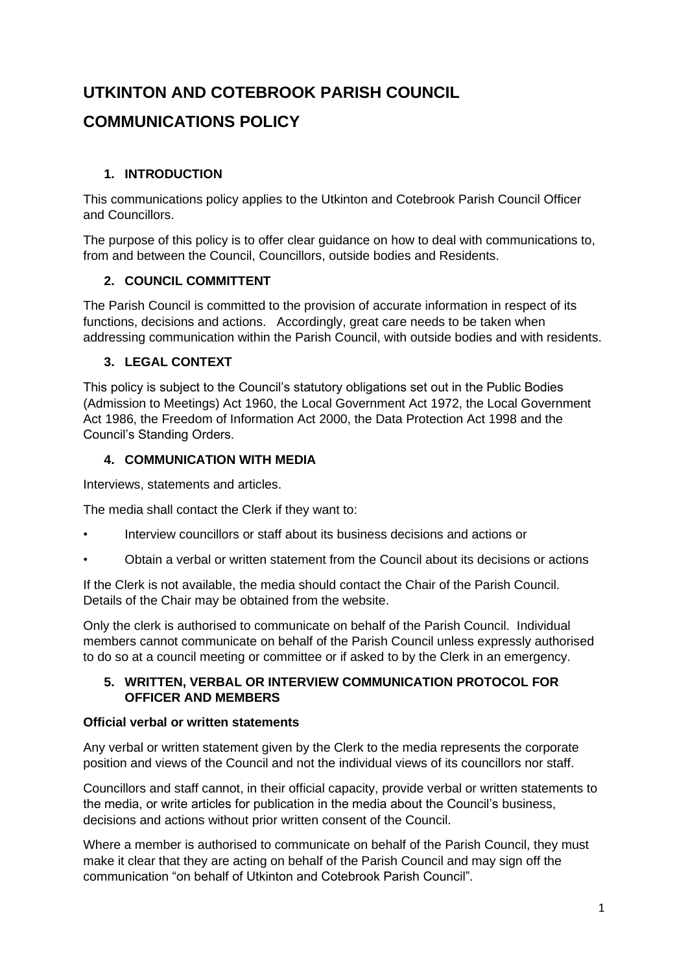# **UTKINTON AND COTEBROOK PARISH COUNCIL**

# **COMMUNICATIONS POLICY**

# **1. INTRODUCTION**

This communications policy applies to the Utkinton and Cotebrook Parish Council Officer and Councillors.

The purpose of this policy is to offer clear guidance on how to deal with communications to, from and between the Council, Councillors, outside bodies and Residents.

# **2. COUNCIL COMMITTENT**

The Parish Council is committed to the provision of accurate information in respect of its functions, decisions and actions. Accordingly, great care needs to be taken when addressing communication within the Parish Council, with outside bodies and with residents.

# **3. LEGAL CONTEXT**

This policy is subject to the Council's statutory obligations set out in the Public Bodies (Admission to Meetings) Act 1960, the Local Government Act 1972, the Local Government Act 1986, the Freedom of Information Act 2000, the Data Protection Act 1998 and the Council's Standing Orders.

# **4. COMMUNICATION WITH MEDIA**

Interviews, statements and articles.

The media shall contact the Clerk if they want to:

- Interview councillors or staff about its business decisions and actions or
- Obtain a verbal or written statement from the Council about its decisions or actions

If the Clerk is not available, the media should contact the Chair of the Parish Council. Details of the Chair may be obtained from the website.

Only the clerk is authorised to communicate on behalf of the Parish Council. Individual members cannot communicate on behalf of the Parish Council unless expressly authorised to do so at a council meeting or committee or if asked to by the Clerk in an emergency.

#### **5. WRITTEN, VERBAL OR INTERVIEW COMMUNICATION PROTOCOL FOR OFFICER AND MEMBERS**

# **Official verbal or written statements**

Any verbal or written statement given by the Clerk to the media represents the corporate position and views of the Council and not the individual views of its councillors nor staff.

Councillors and staff cannot, in their official capacity, provide verbal or written statements to the media, or write articles for publication in the media about the Council's business, decisions and actions without prior written consent of the Council.

Where a member is authorised to communicate on behalf of the Parish Council, they must make it clear that they are acting on behalf of the Parish Council and may sign off the communication "on behalf of Utkinton and Cotebrook Parish Council".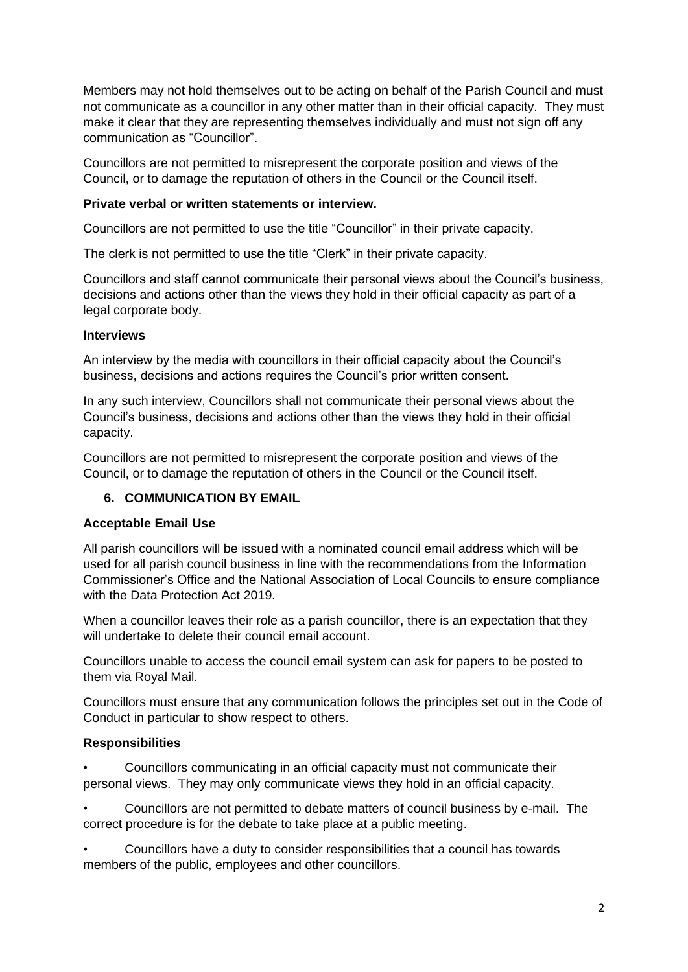Members may not hold themselves out to be acting on behalf of the Parish Council and must not communicate as a councillor in any other matter than in their official capacity. They must make it clear that they are representing themselves individually and must not sign off any communication as "Councillor".

Councillors are not permitted to misrepresent the corporate position and views of the Council, or to damage the reputation of others in the Council or the Council itself.

#### **Private verbal or written statements or interview.**

Councillors are not permitted to use the title "Councillor" in their private capacity.

The clerk is not permitted to use the title "Clerk" in their private capacity.

Councillors and staff cannot communicate their personal views about the Council's business, decisions and actions other than the views they hold in their official capacity as part of a legal corporate body.

#### **Interviews**

An interview by the media with councillors in their official capacity about the Council's business, decisions and actions requires the Council's prior written consent.

In any such interview, Councillors shall not communicate their personal views about the Council's business, decisions and actions other than the views they hold in their official capacity.

Councillors are not permitted to misrepresent the corporate position and views of the Council, or to damage the reputation of others in the Council or the Council itself.

#### **6. COMMUNICATION BY EMAIL**

#### **Acceptable Email Use**

All parish councillors will be issued with a nominated council email address which will be used for all parish council business in line with the recommendations from the Information Commissioner's Office and the National Association of Local Councils to ensure compliance with the Data Protection Act 2019.

When a councillor leaves their role as a parish councillor, there is an expectation that they will undertake to delete their council email account.

Councillors unable to access the council email system can ask for papers to be posted to them via Royal Mail.

Councillors must ensure that any communication follows the principles set out in the Code of Conduct in particular to show respect to others.

#### **Responsibilities**

• Councillors communicating in an official capacity must not communicate their personal views. They may only communicate views they hold in an official capacity.

• Councillors are not permitted to debate matters of council business by e-mail. The correct procedure is for the debate to take place at a public meeting.

• Councillors have a duty to consider responsibilities that a council has towards members of the public, employees and other councillors.